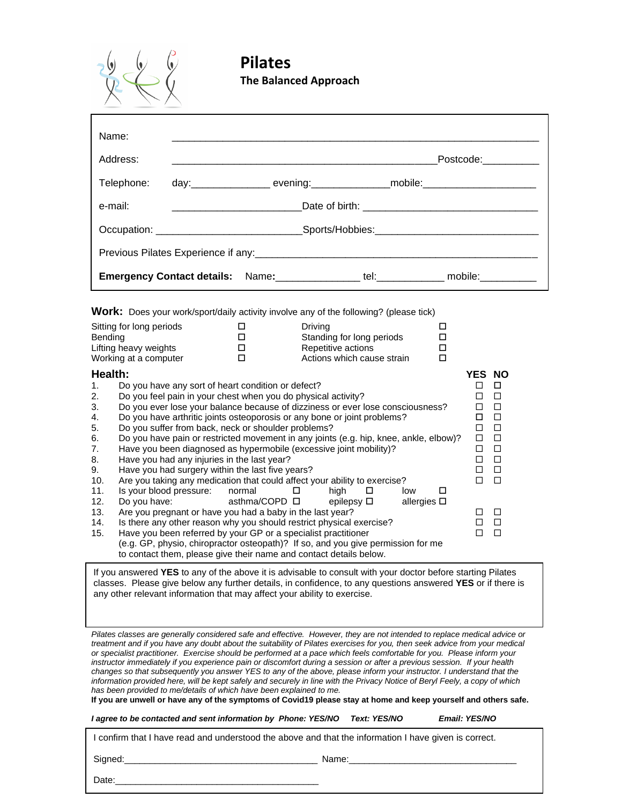

## **Pilates The Balanced Approach**

| Name:      |  |  |  |  |                                                                                   |  |  |
|------------|--|--|--|--|-----------------------------------------------------------------------------------|--|--|
| Address:   |  |  |  |  | Postcode:___________                                                              |  |  |
| Telephone: |  |  |  |  | day:__________________ evening:________________mobile:__________________________  |  |  |
| e-mail:    |  |  |  |  |                                                                                   |  |  |
|            |  |  |  |  | Occupation: __________________________________Sports/Hobbies:____________________ |  |  |
|            |  |  |  |  |                                                                                   |  |  |
|            |  |  |  |  | Emergency Contact details: Name: ______________tel: __________ mobile: _________  |  |  |

**Work:** Does your work/sport/daily activity involve any of the following? (please tick)

| Sitting for long periods |                                                                          |  | Driving                                                                               |               |  |
|--------------------------|--------------------------------------------------------------------------|--|---------------------------------------------------------------------------------------|---------------|--|
| <b>Bending</b>           |                                                                          |  | Standing for long periods                                                             |               |  |
| Lifting heavy weights    |                                                                          |  | Repetitive actions                                                                    |               |  |
| Working at a computer    |                                                                          |  | Actions which cause strain                                                            |               |  |
| Health:                  |                                                                          |  |                                                                                       | <b>YES NO</b> |  |
| 1.                       | Do you have any sort of heart condition or defect?                       |  |                                                                                       |               |  |
| 2.                       | Do you feel pain in your chest when you do physical activity?            |  |                                                                                       |               |  |
| 3.                       |                                                                          |  | Do you ever lose your balance because of dizziness or ever lose consciousness?        |               |  |
| 4.                       | Do you have arthritic joints osteoporosis or any bone or joint problems? |  |                                                                                       |               |  |
| 5.                       | Do you suffer from back, neck or shoulder problems?                      |  |                                                                                       |               |  |
| 6.                       |                                                                          |  | Do you have pain or restricted movement in any joints (e.g. hip, knee, ankle, elbow)? |               |  |
| 7.                       |                                                                          |  | Have you been diagnosed as hypermobile (excessive joint mobility)?                    |               |  |
| 8.                       | Have you had any injuries in the last year?                              |  |                                                                                       |               |  |

| 9. | Have you had surgery within the last five years? | $\Box$ $\Box$ |  |
|----|--------------------------------------------------|---------------|--|

| 10. Are you taking any medication that could affect your ability to exercise? |               |                   |                    | $\Box$ $\Box$ |  |
|-------------------------------------------------------------------------------|---------------|-------------------|--------------------|---------------|--|
| 11. Is your blood pressure: normal                                            |               | high LI           | low                |               |  |
| 12. Do you have:                                                              | asthma/COPD ロ | epilepsy <b>□</b> | allergies <b>□</b> |               |  |

| $\Box$ $\Box$<br>13. Are you pregnant or have you had a baby in the last year? |
|--------------------------------------------------------------------------------|
|--------------------------------------------------------------------------------|

| 14. Is there any other reason why you should restrict physical exercise?                                                                                                                                                                                                                                                                                                                                                                                                             | $\Box$ $\Box$            |  |
|--------------------------------------------------------------------------------------------------------------------------------------------------------------------------------------------------------------------------------------------------------------------------------------------------------------------------------------------------------------------------------------------------------------------------------------------------------------------------------------|--------------------------|--|
| $\mathcal{A} = \mathcal{A} \cup \mathcal{A} \cup \mathcal{A} \cup \mathcal{A} \cup \mathcal{A} \cup \mathcal{A} \cup \mathcal{A} \cup \mathcal{A} \cup \mathcal{A} \cup \mathcal{A} \cup \mathcal{A} \cup \mathcal{A} \cup \mathcal{A} \cup \mathcal{A} \cup \mathcal{A} \cup \mathcal{A} \cup \mathcal{A} \cup \mathcal{A} \cup \mathcal{A} \cup \mathcal{A} \cup \mathcal{A} \cup \mathcal{A} \cup \mathcal{A} \cup \mathcal{A} \cup \mathcal{A} \cup \mathcal{A} \cup \mathcal{A$ | $\overline{\phantom{a}}$ |  |

15. Have you been referred by your GP or a specialist practitioner  $\square$ (e.g. GP, physio, chiropractor osteopath)? If so, and you give permission for me to contact them, please give their name and contact details below.

If you answered **YES** to any of the above it is advisable to consult with your doctor before starting Pilates classes. Please give below any further details, in confidence, to any questions answered **YES** or if there is any other relevant information that may affect your ability to exercise.

*Pilates classes are generally considered safe and effective. However, they are not intended to replace medical advice or treatment and if you have any doubt about the suitability of Pilates exercises for you, then seek advice from your medical or specialist practitioner. Exercise should be performed at a pace which feels comfortable for you. Please inform your instructor immediately if you experience pain or discomfort during a session or after a previous session. If your health changes so that subsequently you answer YES to any of the above, please inform your instructor. I understand that the information provided here, will be kept safely and securely in line with the Privacy Notice of Beryl Feely, a copy of which has been provided to me/details of which have been explained to me.* 

**If you are unwell or have any of the symptoms of Covid19 please stay at home and keep yourself and others safe.**

*I agree to be contacted and sent information by Phone: YES/NO Text: YES/NO Email: YES/NO*

I confirm that I have read and understood the above and that the information I have given is correct.

Signed:\_\_\_\_\_\_\_\_\_\_\_\_\_\_\_\_\_\_\_\_\_\_\_\_\_\_\_\_\_\_\_\_\_\_\_\_\_\_ Name:\_\_\_\_\_\_\_\_\_\_\_\_\_\_\_\_\_\_\_\_\_\_\_\_\_\_\_\_\_\_\_\_\_

Date: